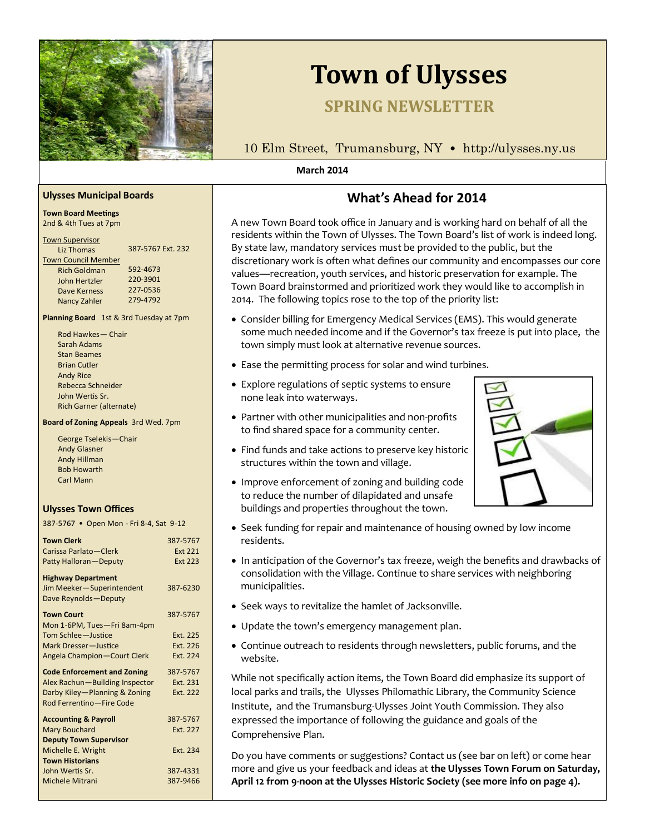

# **Town of Ulysses**

# **SPRING NEWSLETTER**

10 Elm Street, Trumansburg, NY • http://ulysses.ny.us

#### **March 2014**

# **What's Ahead for 2014**

A new Town Board took office in January and is working hard on behalf of all the residents within the Town of Ulysses. The Town Board's list of work is indeed long. By state law, mandatory services must be provided to the public, but the discretionary work is often what defines our community and encompasses our core values—recreation, youth services, and historic preservation for example. The Town Board brainstormed and prioritized work they would like to accomplish in 2014. The following topics rose to the top of the priority list:

- Consider billing for Emergency Medical Services (EMS). This would generate some much needed income and if the Governor's tax freeze is put into place, the town simply must look at alternative revenue sources.
- Ease the permitting process for solar and wind turbines.
- Explore regulations of septic systems to ensure none leak into waterways.
- Partner with other municipalities and non-profits to find shared space for a community center.
- Find funds and take actions to preserve key historic structures within the town and village.
- Improve enforcement of zoning and building code to reduce the number of dilapidated and unsafe buildings and properties throughout the town.
- Seek funding for repair and maintenance of housing owned by low income residents.
- In anticipation of the Governor's tax freeze, weigh the benefits and drawbacks of consolidation with the Village. Continue to share services with neighboring municipalities.
- Seek ways to revitalize the hamlet of Jacksonville.
- Update the town's emergency management plan.
- Continue outreach to residents through newsletters, public forums, and the website.

While not specifically action items, the Town Board did emphasize its support of local parks and trails, the Ulysses Philomathic Library, the Community Science Institute, and the Trumansburg-Ulysses Joint Youth Commission. They also expressed the importance of following the guidance and goals of the Comprehensive Plan.

Do you have comments or suggestions? Contact us (see bar on left) or come hear more and give us your feedback and ideas at **the Ulysses Town Forum on Saturday, April 12 from 9-noon at the Ulysses Historic Society (see more info on page 4).** 

#### **Ulysses Municipal Boards**

#### **Town Board Meetings**  2nd & 4th Tues at 7pm

| <b>Town Supervisor</b>     |                   |
|----------------------------|-------------------|
| Liz Thomas                 | 387-5767 Ext. 232 |
| <b>Town Council Member</b> |                   |
| <b>Rich Goldman</b>        | 592-4673          |
| John Hertzler              | 220-3901          |
| Dave Kerness               | 227-0536          |
| Nancy Zahler               | 279-4792          |
|                            |                   |

**Planning Board** 1st & 3rd Tuesday at 7pm

Rod Hawkes— Chair Sarah Adams Stan Beames Brian Cutler Andy Rice Rebecca Schneider John Wertis Sr. Rich Garner (alternate)

#### **Board of Zoning Appeals** 3rd Wed. 7pm

| George Tselekis-Chair |
|-----------------------|
| <b>Andy Glasner</b>   |
| Andy Hillman          |
| <b>Bob Howarth</b>    |
| <b>Carl Mann</b>      |

#### **Ulysses Town Offices**

387-5767 • Open Mon - Fri 8-4, Sat 9-12

| 387-5767       |
|----------------|
| <b>Ext 221</b> |
| <b>Ext 223</b> |
|                |
| 387-6230       |
|                |
| 387-5767       |
|                |
| Ext. 225       |
| Ext. 226       |
| Ext. 224       |
| 387-5767       |
| Ext. 231       |
| Ext. 222       |
|                |
| 387-5767       |
| Ext. 227       |
|                |
| Ext. 234       |
|                |
| 387-4331       |
| 387-9466       |
|                |

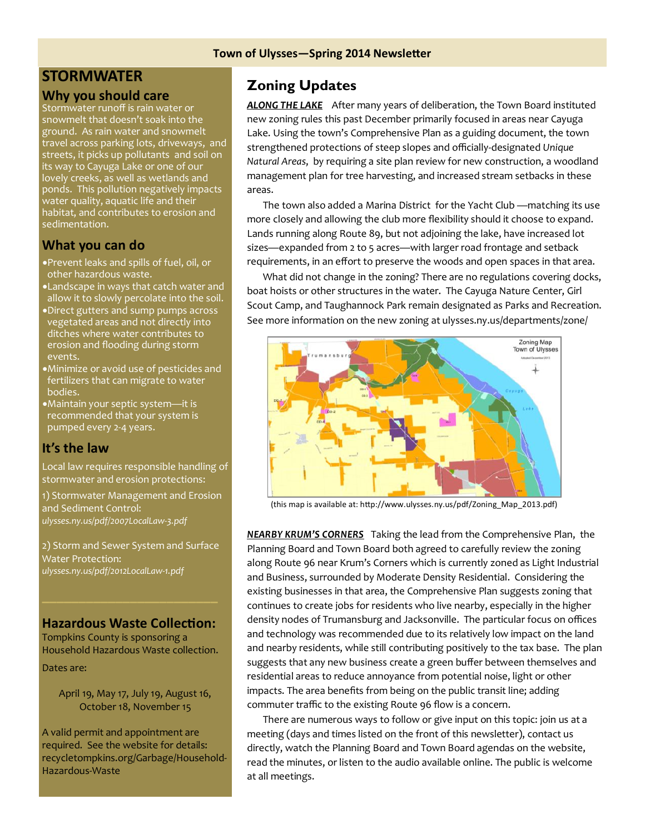#### **Town of Ulysses—Spring 2014 Newsletter**

# **STORMWATER**

### **Why you should care**

Stormwater runoff is rain water or snowmelt that doesn't soak into the ground. As rain water and snowmelt travel across parking lots, driveways, and streets, it picks up pollutants and soil on its way to Cayuga Lake or one of our lovely creeks, as well as wetlands and ponds. This pollution negatively impacts water quality, aquatic life and their habitat, and contributes to erosion and sedimentation.

## **What you can do**

- Prevent leaks and spills of fuel, oil, or other hazardous waste.
- Landscape in ways that catch water and allow it to slowly percolate into the soil.
- Direct gutters and sump pumps across vegetated areas and not directly into ditches where water contributes to erosion and flooding during storm events.
- Minimize or avoid use of pesticides and fertilizers that can migrate to water bodies.
- Maintain your septic system—it is recommended that your system is pumped every 2-4 years.

### **It's the law**

Local law requires responsible handling of stormwater and erosion protections:

1) Stormwater Management and Erosion and Sediment Control: *ulysses.ny.us/pdf/2007LocalLaw-3.pdf*

2) Storm and Sewer System and Surface Water Protection: *ulysses.ny.us/pdf/2012LocalLaw-1.pdf*

### **Hazardous Waste Collection:**

Tompkins County is sponsoring a Household Hazardous Waste collection.

Dates are:

April 19, May 17, July 19, August 16, October 18, November 15

A valid permit and appointment are required. See the website for details: recycletompkins.org/Garbage/Household-Hazardous-Waste

# **Zoning Updates**

*ALONG THE LAKE* After many years of deliberation, the Town Board instituted new zoning rules this past December primarily focused in areas near Cayuga Lake. Using the town's Comprehensive Plan as a guiding document, the town strengthened protections of steep slopes and officially-designated *Unique Natural Areas*, by requiring a site plan review for new construction, a woodland management plan for tree harvesting, and increased stream setbacks in these areas.

 The town also added a Marina District for the Yacht Club —matching its use more closely and allowing the club more flexibility should it choose to expand. Lands running along Route 89, but not adjoining the lake, have increased lot sizes—expanded from 2 to 5 acres—with larger road frontage and setback requirements, in an effort to preserve the woods and open spaces in that area.

 What did not change in the zoning? There are no regulations covering docks, boat hoists or other structures in the water. The Cayuga Nature Center, Girl Scout Camp, and Taughannock Park remain designated as Parks and Recreation. See more information on the new zoning at ulysses.ny.us/departments/zone/



(this map is available at: http://www.ulysses.ny.us/pdf/Zoning\_Map\_2013.pdf)

*NEARBY KRUM'S CORNERS* Taking the lead from the Comprehensive Plan, the Planning Board and Town Board both agreed to carefully review the zoning along Route 96 near Krum's Corners which is currently zoned as Light Industrial and Business, surrounded by Moderate Density Residential. Considering the existing businesses in that area, the Comprehensive Plan suggests zoning that continues to create jobs for residents who live nearby, especially in the higher density nodes of Trumansburg and Jacksonville. The particular focus on offices and technology was recommended due to its relatively low impact on the land and nearby residents, while still contributing positively to the tax base. The plan suggests that any new business create a green buffer between themselves and residential areas to reduce annoyance from potential noise, light or other impacts. The area benefits from being on the public transit line; adding commuter traffic to the existing Route 96 flow is a concern.

 There are numerous ways to follow or give input on this topic: join us at a meeting (days and times listed on the front of this newsletter), contact us directly, watch the Planning Board and Town Board agendas on the website, read the minutes, or listen to the audio available online. The public is welcome at all meetings.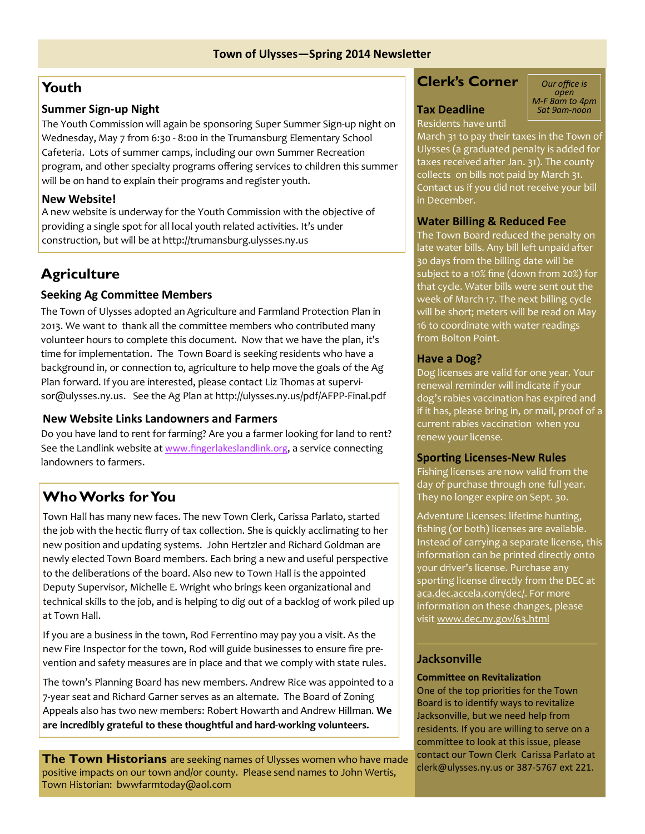# **Youth**

### **Summer Sign-up Night**

The Youth Commission will again be sponsoring Super Summer Sign-up night on Wednesday, May 7 from 6:30 - 8:00 in the Trumansburg Elementary School Cafeteria. Lots of summer camps, including our own Summer Recreation program, and other specialty programs offering services to children this summer will be on hand to explain their programs and register youth.

# **New Website!**

A new website is underway for the Youth Commission with the objective of providing a single spot for all local youth related activities. It's under construction, but will be at http://trumansburg.ulysses.ny.us

# **Agriculture**

## **Seeking Ag Committee Members**

The Town of Ulysses adopted an Agriculture and Farmland Protection Plan in 2013. We want to thank all the committee members who contributed many volunteer hours to complete this document. Now that we have the plan, it's time for implementation. The Town Board is seeking residents who have a background in, or connection to, agriculture to help move the goals of the Ag Plan forward. If you are interested, please contact Liz Thomas at supervisor@ulysses.ny.us. See the Ag Plan at http://ulysses.ny.us/pdf/AFPP-Final.pdf

### **New Website Links Landowners and Farmers**

Do you have land to rent for farming? Are you a farmer looking for land to rent? See the Landlink website at [www.fingerlakeslandlink.org](http://www.fingerlakeslandlink.org/), a service connecting landowners to farmers.

# **Who Works for You**

Town Hall has many new faces. The new Town Clerk, Carissa Parlato, started the job with the hectic flurry of tax collection. She is quickly acclimating to her new position and updating systems. John Hertzler and Richard Goldman are newly elected Town Board members. Each bring a new and useful perspective to the deliberations of the board. Also new to Town Hall is the appointed Deputy Supervisor, Michelle E. Wright who brings keen organizational and technical skills to the job, and is helping to dig out of a backlog of work piled up at Town Hall.

If you are a business in the town, Rod Ferrentino may pay you a visit. As the new Fire Inspector for the town, Rod will guide businesses to ensure fire prevention and safety measures are in place and that we comply with state rules.

The town's Planning Board has new members. Andrew Rice was appointed to a 7-year seat and Richard Garner serves as an alternate. The Board of Zoning Appeals also has two new members: Robert Howarth and Andrew Hillman. **We are incredibly grateful to these thoughtful and hard-working volunteers.** 

**The Town Historians** are seeking names of Ulysses women who have made positive impacts on our town and/or county. Please send names to John Wertis, Town Historian: bwwfarmtoday@aol.com

# **Clerk's Corner**

# **Tax Deadline**

*open M-F 8am to 4pm Sat 9am-noon*

*Our office is* 

# Residents have until

March 31 to pay their taxes in the Town of Ulysses (a graduated penalty is added for taxes received after Jan. 31). The county collects on bills not paid by March 31. Contact us if you did not receive your bill in December.

## **Water Billing & Reduced Fee**

The Town Board reduced the penalty on late water bills. Any bill left unpaid after 30 days from the billing date will be subject to a 10% fine (down from 20%) for that cycle. Water bills were sent out the week of March 17. The next billing cycle will be short; meters will be read on May 16 to coordinate with water readings from Bolton Point.

## **Have a Dog?**

Dog licenses are valid for one year. Your renewal reminder will indicate if your dog's rabies vaccination has expired and if it has, please bring in, or mail, proof of a current rabies vaccination when you renew your license.

### **Sporting Licenses-New Rules**

Fishing licenses are now valid from the day of purchase through one full year. They no longer expire on Sept. 30.

Adventure Licenses: lifetime hunting, fishing (or both) licenses are available. Instead of carrying a separate license, this information can be printed directly onto your driver's license. Purchase any sporting license directly from the DEC a[t](https://aca.dec.accela.com/dec/) [aca.dec.accela.com/dec/.](https://aca.dec.accela.com/dec/) For more information on these changes, please visit [www.dec.ny.gov/63.html](http://www.dec.ny.gov/63.html)

# **Jacksonville**

#### **Committee on Revitalization**

One of the top priorities for the Town Board is to identify ways to revitalize Jacksonville, but we need help from residents. If you are willing to serve on a committee to look at this issue, please contact our Town Clerk Carissa Parlato at clerk@ulysses.ny.us or 387-5767 ext 221.